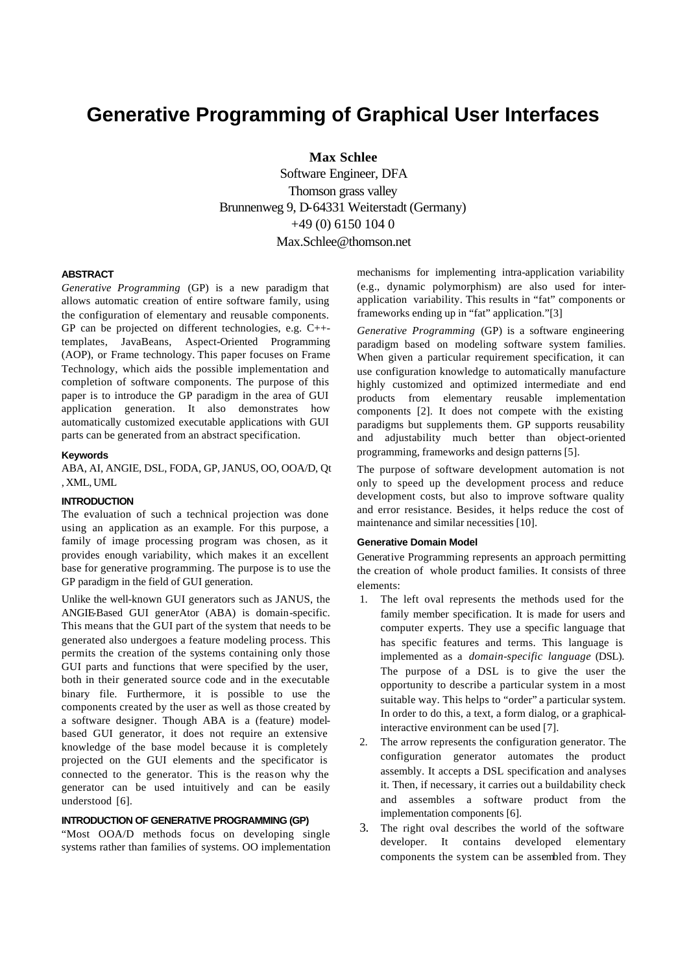# **Generative Programming of Graphical User Interfaces**

**Max Schlee** 

Software Engineer, DFA Thomson grass valley Brunnenweg 9, D-64331 Weiterstadt (Germany) +49 (0) 6150 104 0 Max.Schlee@thomson.net

## **ABSTRACT**

*Generative Programming* (GP) is a new paradigm that allows automatic creation of entire software family, using the configuration of elementary and reusable components. GP can be projected on different technologies, e.g. C++ templates, JavaBeans, Aspect-Oriented Programming (AOP), or Frame technology. This paper focuses on Frame Technology, which aids the possible implementation and completion of software components. The purpose of this paper is to introduce the GP paradigm in the area of GUI application generation. It also demonstrates how automatically customized executable applications with GUI parts can be generated from an abstract specification.

#### **Keywords**

ABA, AI, ANGIE, DSL, FODA, GP, JANUS, OO, OOA/D, Qt , XML, UML

## **INTRODUCTION**

The evaluation of such a technical projection was done using an application as an example. For this purpose, a family of image processing program was chosen, as it provides enough variability, which makes it an excellent base for generative programming. The purpose is to use the GP paradigm in the field of GUI generation.

Unlike the well-known GUI generators such as JANUS, the ANGIE-Based GUI generAtor (ABA) is domain-specific. This means that the GUI part of the system that needs to be generated also undergoes a feature modeling process. This permits the creation of the systems containing only those GUI parts and functions that were specified by the user, both in their generated source code and in the executable binary file. Furthermore, it is possible to use the components created by the user as well as those created by a software designer. Though ABA is a (feature) modelbased GUI generator, it does not require an extensive knowledge of the base model because it is completely projected on the GUI elements and the specificator is connected to the generator. This is the reason why the generator can be used intuitively and can be easily understood [6].

#### **INTRODUCTION OF GENERATIVE PROGRAMMING (GP)**

"Most OOA/D methods focus on developing single systems rather than families of systems. OO implementation mechanisms for implementing intra-application variability (e.g., dynamic polymorphism) are also used for interapplication variability. This results in "fat" components or frameworks ending up in "fat" application."[3]

*Generative Programming* (GP) is a software engineering paradigm based on modeling software system families. When given a particular requirement specification, it can use configuration knowledge to automatically manufacture highly customized and optimized intermediate and end products from elementary reusable implementation components [2]. It does not compete with the existing paradigms but supplements them. GP supports reusability and adjustability much better than object-oriented programming, frameworks and design patterns [5].

The purpose of software development automation is not only to speed up the development process and reduce development costs, but also to improve software quality and error resistance. Besides, it helps reduce the cost of maintenance and similar necessities [10].

#### **Generative Domain Model**

Generative Programming represents an approach permitting the creation of whole product families. It consists of three elements:

- 1. The left oval represents the methods used for the family member specification. It is made for users and computer experts. They use a specific language that has specific features and terms. This language is implemented as a *domain-specific language* (DSL). The purpose of a DSL is to give the user the opportunity to describe a particular system in a most suitable way. This helps to "order" a particular system. In order to do this, a text, a form dialog, or a graphicalinteractive environment can be used [7].
- 2. The arrow represents the configuration generator. The configuration generator automates the product assembly. It accepts a DSL specification and analyses it. Then, if necessary, it carries out a buildability check and assembles a software product from the implementation components [6].
- 3. The right oval describes the world of the software developer. It contains developed elementary components the system can be assembled from. They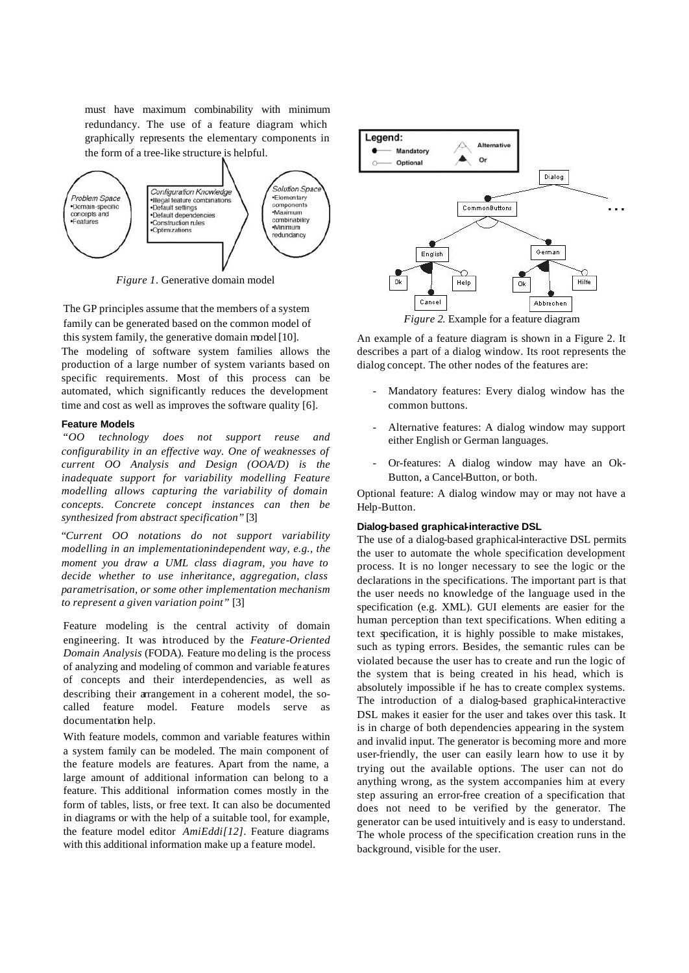must have maximum combinability with minimum redundancy. The use of a feature diagram which graphically represents the elementary components in the form of a tree-like structure is helpful.



*Figure 1.* Generative domain model

The GP principles assume that the members of a system family can be generated based on the common model of this system family, the generative domain model [10]. The modeling of software system families allows the

production of a large number of system variants based on specific requirements. Most of this process can be automated, which significantly reduces the development time and cost as well as improves the software quality [6].

## **Feature Models**

 "*OO technology does not support reuse and configurability in an effective way. One of weaknesses of current OO Analysis and Design (OOA/D) is the inadequate support for variability modelling Feature modelling allows capturing the variability of domain concepts. Concrete concept instances can then be synthesized from abstract specification"* [3]

"*Current OO notations do not support variability modelling in an implementationindependent way, e.g., the moment you draw a UML class diagram, you have to decide whether to use inheritance, aggregation, class parametrisation, or some other implementation mechanism to represent a given variation point"* [3]

Feature modeling is the central activity of domain engineering. It was introduced by the *Feature-Oriented Domain Analysis* (FODA). Feature mo deling is the process of analyzing and modeling of common and variable features of concepts and their interdependencies, as well as describing their arrangement in a coherent model, the socalled feature model. Feature models serve documentation help.

With feature models, common and variable features within a system family can be modeled. The main component of the feature models are features. Apart from the name, a large amount of additional information can belong to a feature. This additional information comes mostly in the form of tables, lists, or free text. It can also be documented in diagrams or with the help of a suitable tool, for example, the feature model editor *AmiEddi[12]*. Feature diagrams with this additional information make up a feature model.



An example of a feature diagram is shown in a Figure 2. It describes a part of a dialog window. Its root represents the dialog concept. The other nodes of the features are:

- Mandatory features: Every dialog window has the common buttons.
- Alternative features: A dialog window may support either English or German languages.
- Or-features: A dialog window may have an Ok-Button, a Cancel-Button, or both.

Optional feature: A dialog window may or may not have a Help-Button.

#### **Dialog-based graphical-interactive DSL**

The use of a dialog-based graphical-interactive DSL permits the user to automate the whole specification development process. It is no longer necessary to see the logic or the declarations in the specifications. The important part is that the user needs no knowledge of the language used in the specification (e.g. XML). GUI elements are easier for the human perception than text specifications. When editing a text specification, it is highly possible to make mistakes, such as typing errors. Besides, the semantic rules can be violated because the user has to create and run the logic of the system that is being created in his head, which is absolutely impossible if he has to create complex systems. The introduction of a dialog-based graphical-interactive DSL makes it easier for the user and takes over this task. It is in charge of both dependencies appearing in the system and invalid input. The generator is becoming more and more user-friendly, the user can easily learn how to use it by trying out the available options. The user can not do anything wrong, as the system accompanies him at every step assuring an error-free creation of a specification that does not need to be verified by the generator. The generator can be used intuitively and is easy to understand. The whole process of the specification creation runs in the background, visible for the user.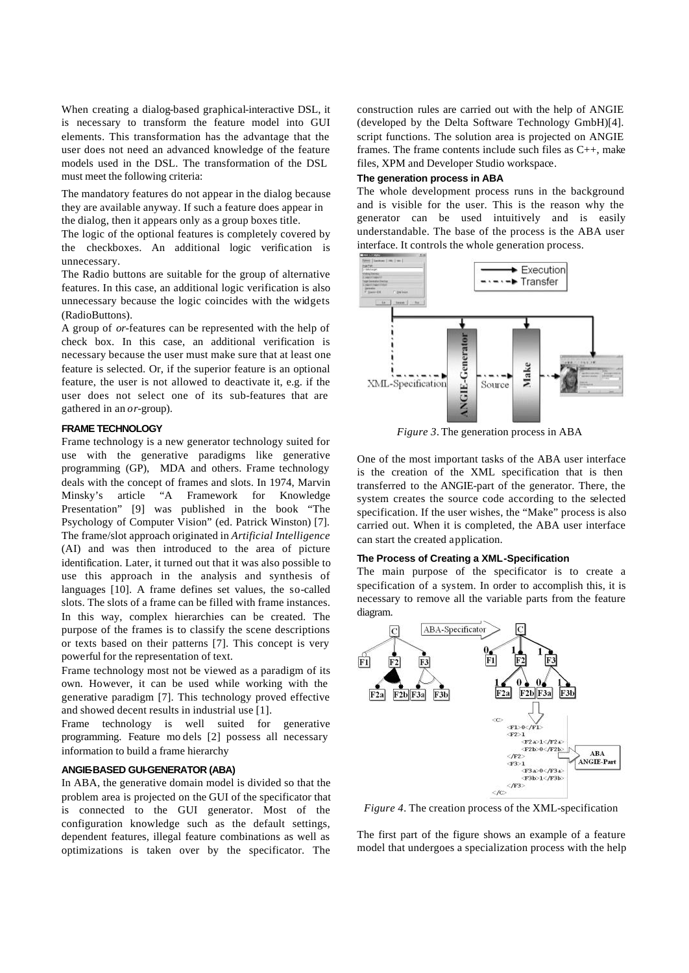When creating a dialog-based graphical-interactive DSL, it is necessary to transform the feature model into GUI elements. This transformation has the advantage that the user does not need an advanced knowledge of the feature models used in the DSL. The transformation of the DSL must meet the following criteria:

The mandatory features do not appear in the dialog because they are available anyway. If such a feature does appear in the dialog, then it appears only as a group boxes title.

The logic of the optional features is completely covered by the checkboxes. An additional logic verification is unnecessary.

The Radio buttons are suitable for the group of alternative features. In this case, an additional logic verification is also unnecessary because the logic coincides with the widgets (RadioButtons).

A group of *or*-features can be represented with the help of check box. In this case, an additional verification is necessary because the user must make sure that at least one feature is selected. Or, if the superior feature is an optional feature, the user is not allowed to deactivate it, e.g. if the user does not select one of its sub-features that are gathered in an *or*-group).

## **FRAME TECHNOLOGY**

Frame technology is a new generator technology suited for use with the generative paradigms like generative programming (GP), MDA and others. Frame technology deals with the concept of frames and slots. In 1974, Marvin Minsky's article "A Framework for Knowledge Presentation" [9] was published in the book "The Psychology of Computer Vision" (ed. Patrick Winston) [7]. The frame/slot approach originated in *Artificial Intelligence* (AI) and was then introduced to the area of picture identification. Later, it turned out that it was also possible to use this approach in the analysis and synthesis of languages [10]. A frame defines set values, the so-called slots. The slots of a frame can be filled with frame instances. In this way, complex hierarchies can be created. The purpose of the frames is to classify the scene descriptions or texts based on their patterns [7]. This concept is very powerful for the representation of text.

Frame technology most not be viewed as a paradigm of its own. However, it can be used while working with the generative paradigm [7]. This technology proved effective and showed decent results in industrial use [1].

Frame technology is well suited for generative programming. Feature mo dels [2] possess all necessary information to build a frame hierarchy

## **ANGIE-BASED GUI-GENERATOR (ABA)**

In ABA, the generative domain model is divided so that the problem area is projected on the GUI of the specificator that is connected to the GUI generator. Most of the configuration knowledge such as the default settings, dependent features, illegal feature combinations as well as optimizations is taken over by the specificator. The

construction rules are carried out with the help of ANGIE (developed by the Delta Software Technology GmbH)[4]. script functions. The solution area is projected on ANGIE frames. The frame contents include such files as C++, make files, XPM and Developer Studio workspace.

#### **The generation process in ABA**

The whole development process runs in the background and is visible for the user. This is the reason why the generator can be used intuitively and is easily understandable. The base of the process is the ABA user interface. It controls the whole generation process.



*Figure 3.* The generation process in ABA

One of the most important tasks of the ABA user interface is the creation of the XML specification that is then transferred to the ANGIE-part of the generator. There, the system creates the source code according to the selected specification. If the user wishes, the "Make" process is also carried out. When it is completed, the ABA user interface can start the created application.

### **The Process of Creating a XML-Specification**

The main purpose of the specificator is to create a specification of a system. In order to accomplish this, it is necessary to remove all the variable parts from the feature diagram.



*Figure 4.* The creation process of the XML-specification

The first part of the figure shows an example of a feature model that undergoes a specialization process with the help